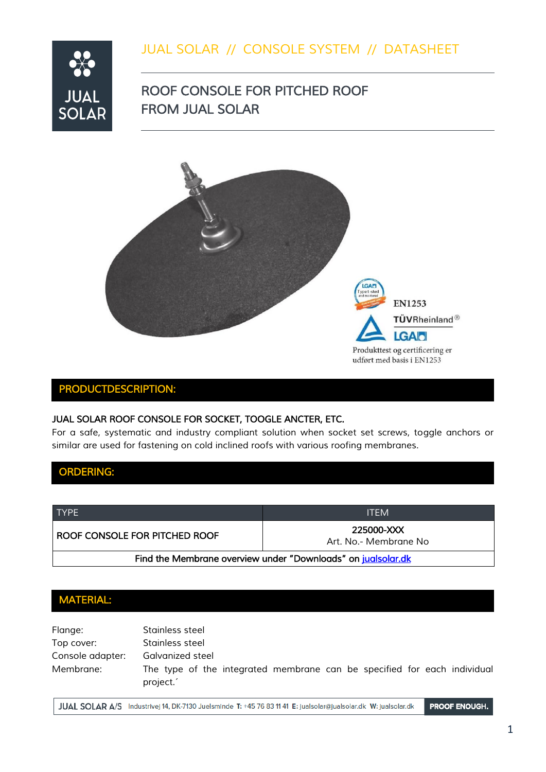### *JUAL SOLAR // CONSOLE SYSTEM // DATASHEET*



## *ROOF CONSOLE FOR PITCHED ROOF FROM JUAL SOLAR*



### *PRODUCTDESCRIPTION:*

### **JUAL SOLAR ROOF CONSOLE FOR SOCKET, TOOGLE ANCTER, ETC.**

For a safe, systematic and industry compliant solution when socket set screws, toggle anchors or *similar are used for fastening on cold inclined roofs with various roofing membranes.*

*ORDERING:* 

| <b>TYPE</b>                                                  | <b>ITEM</b>                         |
|--------------------------------------------------------------|-------------------------------------|
| I ROOF CONSOLE FOR PITCHED ROOF                              | 225000-XXX<br>Art. No.- Membrane No |
| Find the Membrane overview under "Downloads" on jualsolar.dk |                                     |

### *MATERIAL:*

| Flange:          | Stainless steel                                                                      |
|------------------|--------------------------------------------------------------------------------------|
| Top cover:       | Stainless steel                                                                      |
| Console adapter: | Galvanized steel                                                                     |
| Membrane:        | The type of the integrated membrane can be specified for each individual<br>project. |

JUAL SOLAR A/S Industrivej 14, DK-7130 Juelsminde T: +45 76 83 11 41 E: jualsolar@jualsolar.dk W: jualsolar.dk

PROOF ENOUGH.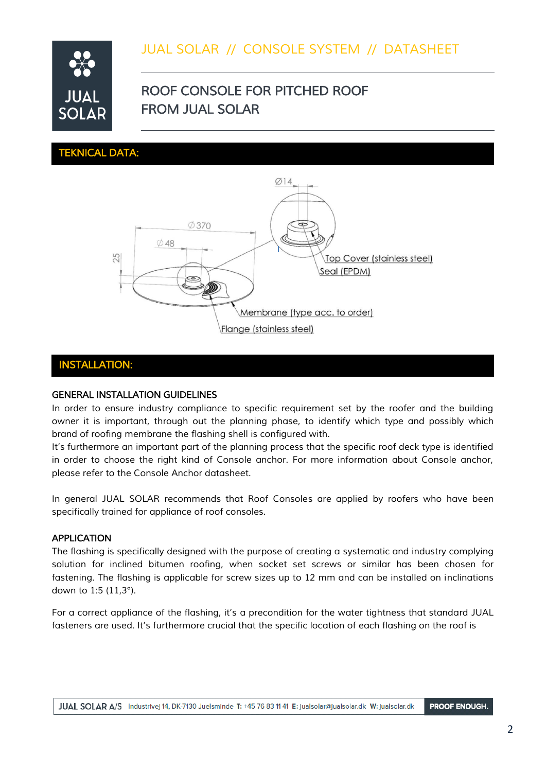## *JUAL SOLAR // CONSOLE SYSTEM // DATASHEET*



## *ROOF CONSOLE FOR PITCHED ROOF FROM JUAL SOLAR*

*TEKNICAL DATA:* 



#### *INSTALLATION:*

#### *GENERAL INSTALLATION GUIDELINES*

In order to ensure industry compliance to specific requirement set by the roofer and the building *owner it is important, through out the planning phase, to identify which type and possibly which brand of roofing membrane the flashing shell is configured with.*

*It's furthermore an important part of the planning process that the specific roof deck type is identified in order to choose the right kind of Console anchor. For more information about Console anchor, please refer to the Console Anchor datasheet.*

*In general JUAL SOLAR recommends that Roof Consoles are applied by roofers who have been specifically trained for appliance of roof consoles.*

#### *APPLICATION*

*The flashing is specifically designed with the purpose of creating a systematic and industry complying solution for inclined bitumen roofing, when socket set screws or similar has been chosen for fastening. The flashing is applicable for screw sizes up to 12 mm and can be installed on inclinations down to 1:5 (11,3°).*

*For a correct appliance of the flashing, it's a precondition for the water tightness that standard JUAL fasteners are used. It's furthermore crucial that the specific location of each flashing on the roof is*